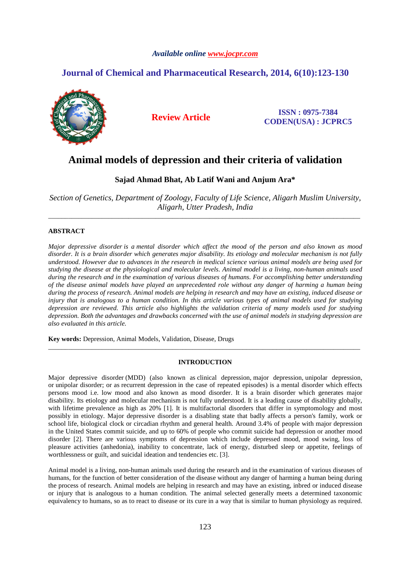# *Available online www.jocpr.com*

# **Journal of Chemical and Pharmaceutical Research, 2014, 6(10):123-130**



**Review Article ISSN : 0975-7384 CODEN(USA) : JCPRC5**

# **Animal models of depression and their criteria of validation**

# **Sajad Ahmad Bhat, Ab Latif Wani and Anjum Ara\***

*Section of Genetics, Department of Zoology, Faculty of Life Science, Aligarh Muslim University, Aligarh, Utter Pradesh, India*  \_\_\_\_\_\_\_\_\_\_\_\_\_\_\_\_\_\_\_\_\_\_\_\_\_\_\_\_\_\_\_\_\_\_\_\_\_\_\_\_\_\_\_\_\_\_\_\_\_\_\_\_\_\_\_\_\_\_\_\_\_\_\_\_\_\_\_\_\_\_\_\_\_\_\_\_\_\_\_\_\_\_\_\_\_\_\_\_\_\_\_\_\_

# **ABSTRACT**

*Major depressive disorder is a mental disorder which affect the mood of the person and also known as mood disorder. It is a brain disorder which generates major disability. Its etiology and molecular mechanism is not fully understood. However due to advances in the research in medical science various animal models are being used for studying the disease at the physiological and molecular levels. Animal model is a living, non-human animals used during the research and in the examination of various diseases of humans. For accomplishing better understanding of the disease animal models have played an unprecedented role without any danger of harming a human being during the process of research. Animal models are helping in research and may have an existing, induced disease or injury that is analogous to a human condition. In this article various types of animal models used for studying depression are reviewed. This article also highlights the validation criteria of many models used for studying depression. Both the advantages and drawbacks concerned with the use of animal models in studying depression are also evaluated in this article.* 

**Key words:** Depression, Animal Models, Validation, Disease, Drugs

# **INTRODUCTION**

\_\_\_\_\_\_\_\_\_\_\_\_\_\_\_\_\_\_\_\_\_\_\_\_\_\_\_\_\_\_\_\_\_\_\_\_\_\_\_\_\_\_\_\_\_\_\_\_\_\_\_\_\_\_\_\_\_\_\_\_\_\_\_\_\_\_\_\_\_\_\_\_\_\_\_\_\_\_\_\_\_\_\_\_\_\_\_\_\_\_\_\_\_

Major depressive disorder (MDD) (also known as clinical depression, major depression, unipolar depression, or unipolar disorder; or as recurrent depression in the case of repeated episodes) is a mental disorder which effects persons mood i.e. low mood and also known as mood disorder. It is a brain disorder which generates major disability. Its etiology and molecular mechanism is not fully understood. It is a leading cause of disability globally, with lifetime prevalence as high as 20% [1]. It is multifactorial disorders that differ in symptomology and most possibly in etiology. Major depressive disorder is a disabling state that badly affects a person's family, work or school life, biological clock or circadian rhythm and general health. Around 3.4% of people with major depression in the United States commit suicide, and up to 60% of people who commit suicide had depression or another mood disorder [2]. There are various symptoms of depression which include depressed mood, mood swing, loss of pleasure activities (anhedonia), inability to concentrate, lack of energy, disturbed sleep or appetite, feelings of worthlessness or guilt, and suicidal ideation and tendencies etc. [3].

Animal model is a living, non-human animals used during the research and in the examination of various diseases of humans, for the function of better consideration of the disease without any danger of harming a human being during the process of research. Animal models are helping in research and may have an existing, inbred or induced disease or injury that is analogous to a human condition. The animal selected generally meets a determined taxonomic equivalency to humans, so as to react to disease or its cure in a way that is similar to human physiology as required.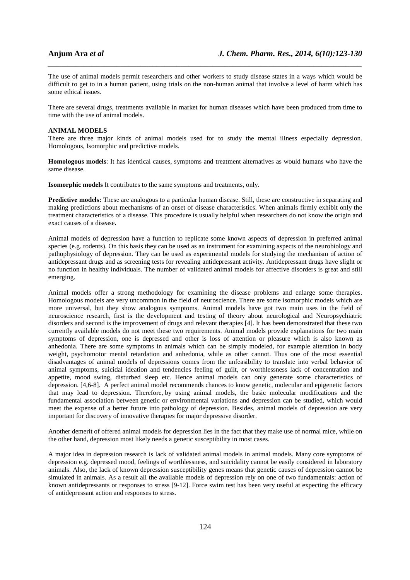The use of animal models permit researchers and other workers to study disease states in a ways which would be difficult to get to in a human patient, using trials on the non-human animal that involve a level of harm which has some ethical issues.

*\_\_\_\_\_\_\_\_\_\_\_\_\_\_\_\_\_\_\_\_\_\_\_\_\_\_\_\_\_\_\_\_\_\_\_\_\_\_\_\_\_\_\_\_\_\_\_\_\_\_\_\_\_\_\_\_\_\_\_\_\_\_\_\_\_\_\_\_\_\_\_\_\_\_\_\_\_\_*

There are several drugs, treatments available in market for human diseases which have been produced from time to time with the use of animal models.

#### **ANIMAL MODELS**

There are three major kinds of animal models used for to study the mental illness especially depression. Homologous, Isomorphic and predictive models.

**Homologous models**: It has identical causes, symptoms and treatment alternatives as would humans who have the same disease.

**Isomorphic models** It contributes to the same symptoms and treatments, only.

**Predictive models:** These are analogous to a particular human disease. Still, these are constructive in separating and making predictions about mechanisms of an onset of disease characteristics. When animals firmly exhibit only the treatment characteristics of a disease. This procedure is usually helpful when researchers do not know the origin and exact causes of a disease**.** 

Animal models of depression have a function to replicate some known aspects of depression in preferred animal species (e.g. rodents). On this basis they can be used as an instrument for examining aspects of the neurobiology and pathophysiology of depression. They can be used as experimental models for studying the mechanism of action of antidepressant drugs and as screening tests for revealing antidepressant activity. Antidepressant drugs have slight or no function in healthy individuals. The number of validated animal models for affective disorders is great and still emerging.

Animal models offer a strong methodology for examining the disease problems and enlarge some therapies. Homologous models are very uncommon in the field of neuroscience. There are some isomorphic models which are more universal, but they show analogous symptoms. Animal models have got two main uses in the field of neuroscience research, first is the development and testing of theory about neurological and Neuropsychiatric disorders and second is the improvement of drugs and relevant therapies [4]. It has been demonstrated that these two currently available models do not meet these two requirements. Animal models provide explanations for two main symptoms of depression, one is depressed and other is loss of attention or pleasure which is also known as anhedonia. There are some symptoms in animals which can be simply modeled, for example alteration in body weight, psychomotor mental retardation and anhedonia, while as other cannot. Thus one of the most essential disadvantages of animal models of depressions comes from the unfeasibility to translate into verbal behavior of animal symptoms, suicidal ideation and tendencies feeling of guilt, or worthlessness lack of concentration and appetite, mood swing, disturbed sleep etc. Hence animal models can only generate some characteristics of depression. [4,6-8]. A perfect animal model recommends chances to know genetic, molecular and epigenetic factors that may lead to depression. Therefore, by using animal models, the basic molecular modifications and the fundamental association between genetic or environmental variations and depression can be studied, which would meet the expense of a better future into pathology of depression. Besides, animal models of depression are very important for discovery of innovative therapies for major depressive disorder.

Another demerit of offered animal models for depression lies in the fact that they make use of normal mice, while on the other hand, depression most likely needs a genetic susceptibility in most cases.

A major idea in depression research is lack of validated animal models in animal models. Many core symptoms of depression e.g. depressed mood, feelings of worthlessness, and suicidality cannot be easily considered in laboratory animals. Also, the lack of known depression susceptibility genes means that genetic causes of depression cannot be simulated in animals. As a result all the available models of depression rely on one of two fundamentals: action of known antidepressants or responses to stress [9-12]. Force swim test has been very useful at expecting the efficacy of antidepressant action and responses to stress.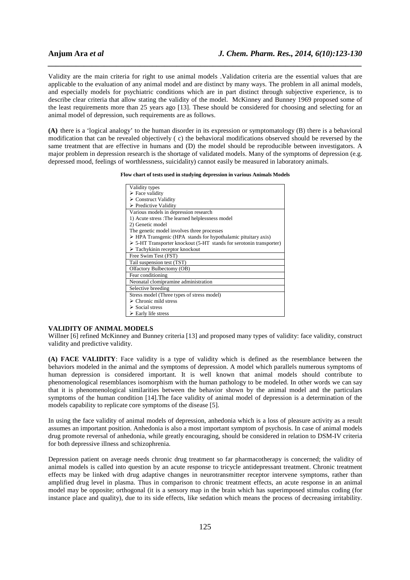Validity are the main criteria for right to use animal models .Validation criteria are the essential values that are applicable to the evaluation of any animal model and are distinct by many ways. The problem in all animal models, and especially models for psychiatric conditions which are in part distinct through subjective experience, is to describe clear criteria that allow stating the validity of the model. McKinney and Bunney 1969 proposed some of the least requirements more than 25 years ago [13]. These should be considered for choosing and selecting for an animal model of depression, such requirements are as follows.

*\_\_\_\_\_\_\_\_\_\_\_\_\_\_\_\_\_\_\_\_\_\_\_\_\_\_\_\_\_\_\_\_\_\_\_\_\_\_\_\_\_\_\_\_\_\_\_\_\_\_\_\_\_\_\_\_\_\_\_\_\_\_\_\_\_\_\_\_\_\_\_\_\_\_\_\_\_\_*

**(A)** there is a 'logical analogy' to the human disorder in its expression or symptomatology (B) there is a behavioral modification that can be revealed objectively ( c) the behavioral modifications observed should be reversed by the same treatment that are effective in humans and (D) the model should be reproducible between investigators. A major problem in depression research is the shortage of validated models. Many of the symptoms of depression (e.g. depressed mood, feelings of worthlessness, suicidality) cannot easily be measured in laboratory animals.

**Flow chart of tests used in studying depression in various Animals Models** 

| Validity types                                                               |
|------------------------------------------------------------------------------|
| $\triangleright$ Face validity                                               |
| $\triangleright$ Construct Validity                                          |
| $\triangleright$ Predictive Validity                                         |
| Various models in depression research                                        |
| 1) Acute stress : The learned helplessness model                             |
| 2) Genetic model                                                             |
| The genetic model involves three processes                                   |
| $\triangleright$ HPA Transgenic (HPA stands for hypothalamic pituitary axis) |
| $>$ 5-HT Transporter knockout (5-HT stands for seroton in transporter)       |
| $\triangleright$ Tachykinin receptor knockout                                |
| Free Swim Test (FST)                                                         |
| Tail suspension test (TST)                                                   |
| Olfactory Bulbectomy (OB)                                                    |
| Fear conditioning                                                            |
| Neonatal clomipramine administration                                         |
| Selective breeding                                                           |
| Stress model (Three types of stress model)                                   |
| $\triangleright$ Chronic mild stress                                         |
| $\triangleright$ Social stress                                               |
| $\triangleright$ Early life stress                                           |

## **VALIDITY OF ANIMAL MODELS**

Willner [6] refined McKinney and Bunney criteria [13] and proposed many types of validity: face validity, construct validity and predictive validity.

**(A) FACE VALIDITY**: Face validity is a type of validity which is defined as the resemblance between the behaviors modeled in the animal and the symptoms of depression. A model which parallels numerous symptoms of human depression is considered important. It is well known that animal models should contribute to phenomenological resemblances isomorphism with the human pathology to be modeled. In other words we can say that it is phenomenological similarities between the behavior shown by the animal model and the particulars symptoms of the human condition [14].The face validity of animal model of depression is a determination of the models capability to replicate core symptoms of the disease [5].

In using the face validity of animal models of depression, anhedonia which is a loss of pleasure activity as a result assumes an important position. Anhedonia is also a most important symptom of psychosis. In case of animal models drug promote reversal of anhedonia, while greatly encouraging, should be considered in relation to DSM-IV criteria for both depressive illness and schizophrenia.

Depression patient on average needs chronic drug treatment so far pharmacotherapy is concerned; the validity of animal models is called into question by an acute response to tricycle antidepressant treatment. Chronic treatment effects may be linked with drug adaptive changes in neurotransmitter receptor intervene symptoms, rather than amplified drug level in plasma. Thus in comparison to chronic treatment effects, an acute response in an animal model may be opposite; orthogonal (it is a sensory map in the brain which has superimposed stimulus coding (for instance place and quality), due to its side effects, like sedation which means the process of decreasing irritability.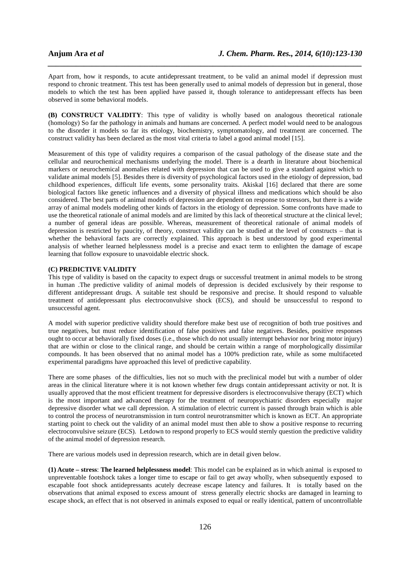Apart from, how it responds, to acute antidepressant treatment, to be valid an animal model if depression must respond to chronic treatment. This test has been generally used to animal models of depression but in general, those models to which the test has been applied have passed it, though tolerance to antidepressant effects has been observed in some behavioral models.

*\_\_\_\_\_\_\_\_\_\_\_\_\_\_\_\_\_\_\_\_\_\_\_\_\_\_\_\_\_\_\_\_\_\_\_\_\_\_\_\_\_\_\_\_\_\_\_\_\_\_\_\_\_\_\_\_\_\_\_\_\_\_\_\_\_\_\_\_\_\_\_\_\_\_\_\_\_\_*

**(B) CONSTRUCT VALIDITY**: This type of validity is wholly based on analogous theoretical rationale (homology) So far the pathology in animals and humans are concerned. A perfect model would need to be analogous to the disorder it models so far its etiology, biochemistry, symptomatology, and treatment are concerned. The construct validity has been declared as the most vital criteria to label a good animal model [15].

Measurement of this type of validity requires a comparison of the casual pathology of the disease state and the cellular and neurochemical mechanisms underlying the model. There is a dearth in literature about biochemical markers or neurochemical anomalies related with depression that can be used to give a standard against which to validate animal models [5]. Besides there is diversity of psychological factors used in the etiology of depression, bad childhood experiences, difficult life events, some personality traits. Akiskal [16] declared that there are some biological factors like genetic influences and a diversity of physical illness and medications which should be also considered. The best parts of animal models of depression are dependent on response to stressors, but there is a wide array of animal models modeling other kinds of factors in the etiology of depression. Some confronts have made to use the theoretical rationale of animal models and are limited by this lack of theoretical structure at the clinical level; a number of general ideas are possible. Whereas, measurement of theoretical rationale of animal models of depression is restricted by paucity, of theory, construct validity can be studied at the level of constructs – that is whether the behavioral facts are correctly explained. This approach is best understood by good experimental analysis of whether learned helplessness model is a precise and exact term to enlighten the damage of escape learning that follow exposure to unavoidable electric shock.

# **(C) PREDICTIVE VALIDITY**

This type of validity is based on the capacity to expect drugs or successful treatment in animal models to be strong in human .The predictive validity of animal models of depression is decided exclusively by their response to different antidepressant drugs. A suitable test should be responsive and precise. It should respond to valuable treatment of antidepressant plus electroconvulsive shock (ECS), and should be unsuccessful to respond to unsuccessful agent.

A model with superior predictive validity should therefore make best use of recognition of both true positives and true negatives, but must reduce identification of false positives and false negatives. Besides, positive responses ought to occur at behaviorally fixed doses (i.e., those which do not usually interrupt behavior nor bring motor injury) that are within or close to the clinical range, and should be certain within a range of morphologically dissimilar compounds. It has been observed that no animal model has a 100% prediction rate, while as some multifaceted experimental paradigms have approached this level of predictive capability.

There are some phases of the difficulties, lies not so much with the preclinical model but with a number of older areas in the clinical literature where it is not known whether few drugs contain antidepressant activity or not. It is usually approved that the most efficient treatment for depressive disorders is electroconvulsive therapy (ECT) which is the most important and advanced therapy for the treatment of neuropsychiatric disorders especially major depressive disorder what we call depression. A stimulation of electric current is passed through brain which is able to control the process of neurotransmission in turn control neurotransmitter which is known as ECT. An appropriate starting point to check out the validity of an animal model must then able to show a positive response to recurring electroconvulsive seizure (ECS). Letdown to respond properly to ECS would sternly question the predictive validity of the animal model of depression research.

There are various models used in depression research, which are in detail given below.

**(1) Acute – stress**: **The learned helplessness model**: This model can be explained as in which animal is exposed to unpreventable footshock takes a longer time to escape or fail to get away wholly, when subsequently exposed to escapable foot shock antidepressants acutely decrease escape latency and failures. It is totally based on the observations that animal exposed to excess amount of stress generally electric shocks are damaged in learning to escape shock, an effect that is not observed in animals exposed to equal or really identical, pattern of uncontrollable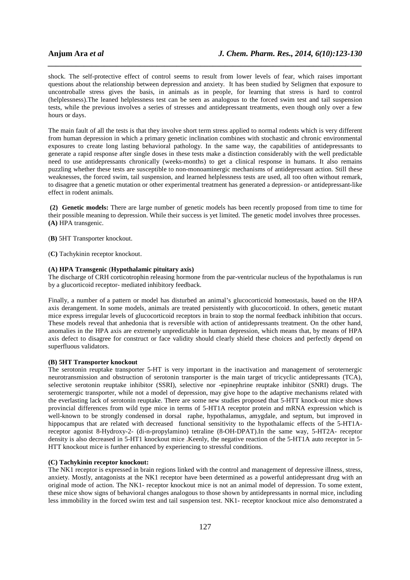shock. The self-protective effect of control seems to result from lower levels of fear, which raises important questions about the relationship between depression and anxiety. It has been studied by Seligmen that exposure to uncontroballe stress gives the basis, in animals as in people, for learning that stress is hard to control (helplessness).The leaned helplessness test can be seen as analogous to the forced swim test and tail suspension tests, while the previous involves a series of stresses and antidepressant treatments, even though only over a few hours or days.

*\_\_\_\_\_\_\_\_\_\_\_\_\_\_\_\_\_\_\_\_\_\_\_\_\_\_\_\_\_\_\_\_\_\_\_\_\_\_\_\_\_\_\_\_\_\_\_\_\_\_\_\_\_\_\_\_\_\_\_\_\_\_\_\_\_\_\_\_\_\_\_\_\_\_\_\_\_\_*

The main fault of all the tests is that they involve short term stress applied to normal rodents which is very different from human depression in which a primary genetic inclination combines with stochastic and chronic environmental exposures to create long lasting behavioral pathology. In the same way, the capabilities of antidepressants to generate a rapid response after single doses in these tests make a distinction considerably with the well predictable need to use antidepressants chronically (weeks-months) to get a clinical response in humans. It also remains puzzling whether these tests are susceptible to non-monoaminergic mechanisms of antidepressant action. Still these weaknesses, the forced swim, tail suspension, and learned helplessness tests are used, all too often without remark, to disagree that a genetic mutation or other experimental treatment has generated a depression- or antidepressant-like effect in rodent animals.

 **(2) Genetic models:** There are large number of genetic models has been recently proposed from time to time for their possible meaning to depression. While their success is yet limited. The genetic model involves three processes. **(A)** HPA transgenic.

(**B)** 5HT Transporter knockout.

(**C)** Tachykinin receptor knockout.

# **(A) HPA Transgenic** (**Hypothalamic pituitary axis)**

The discharge of CRH corticotrophin releasing hormone from the par-ventricular nucleus of the hypothalamus is run by a glucorticoid receptor- mediated inhibitory feedback.

Finally, a number of a pattern or model has disturbed an animal's glucocorticoid homeostasis, based on the HPA axis derangement. In some models, animals are treated persistently with glucocorticoid. In others, genetic mutant mice express irregular levels of glucocorticoid receptors in brain to stop the normal feedback inhibition that occurs. These models reveal that anhedonia that is reversible with action of antidepressants treatment. On the other hand, anomalies in the HPA axis are extremely unpredictable in human depression, which means that, by means of HPA axis defect to disagree for construct or face validity should clearly shield these choices and perfectly depend on superfluous validators.

### **(B) 5HT Transporter knockout**

The serotonin reuptake transporter 5-HT is very important in the inactivation and management of seroternergic neurotransmission and obstruction of serotonin transporter is the main target of tricyclic antidepressants (TCA), selective serotonin reuptake inhibitor (SSRI), selective nor -epinephrine reuptake inhibitor (SNRI) drugs. The seroternergic transporter, while not a model of depression, may give hope to the adaptive mechanisms related with the everlasting lack of serotonin reuptake. There are some new studies proposed that 5-HTT knock-out mice shows provincial differences from wild type mice in terms of 5-HT1A receptor protein and mRNA expression which is well-known to be strongly condensed in dorsal raphe, hypothalamus, amygdale, and septum, but improved in hippocampus that are related with decreased functional sensitivity to the hypothalamic effects of the 5-HT1Areceptor agonist 8-Hydroxy-2- (di-n-propylamino) tetraline (8-OH-DPAT).In the same way, 5-HT2A- receptor density is also decreased in 5-HT1 knockout mice .Keenly, the negative reaction of the 5-HT1A auto receptor in 5- HTT knockout mice is further enhanced by experiencing to stressful conditions.

### **(C) Tachykinin receptor knockout:**

The NK1 receptor is expressed in brain regions linked with the control and management of depressive illness, stress, anxiety. Mostly, antagonists at the NK1 receptor have been determined as a powerful antidepressant drug with an original mode of action. The NK1- receptor knockout mice is not an animal model of depression. To some extent, these mice show signs of behavioral changes analogous to those shown by antidepressants in normal mice, including less immobility in the forced swim test and tail suspension test. NK1- receptor knockout mice also demonstrated a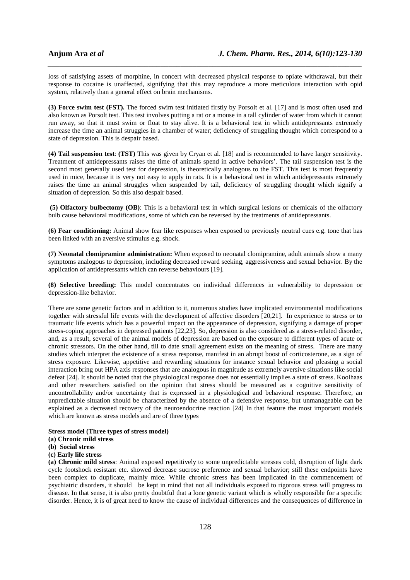loss of satisfying assets of morphine, in concert with decreased physical response to opiate withdrawal, but their response to cocaine is unaffected, signifying that this may reproduce a more meticulous interaction with opid system, relatively than a general effect on brain mechanisms.

*\_\_\_\_\_\_\_\_\_\_\_\_\_\_\_\_\_\_\_\_\_\_\_\_\_\_\_\_\_\_\_\_\_\_\_\_\_\_\_\_\_\_\_\_\_\_\_\_\_\_\_\_\_\_\_\_\_\_\_\_\_\_\_\_\_\_\_\_\_\_\_\_\_\_\_\_\_\_*

**(3) Force swim test (FST).** The forced swim test initiated firstly by Porsolt et al. [17] and is most often used and also known as Porsolt test. This test involves putting a rat or a mouse in a tall cylinder of water from which it cannot run away, so that it must swim or float to stay alive. It is a behavioral test in which antidepressants extremely increase the time an animal struggles in a chamber of water; deficiency of struggling thought which correspond to a state of depression. This is despair based.

**(4) Tail suspension test**: **(TST)** This was given by Cryan et al. [18] and is recommended to have larger sensitivity. Treatment of antidepressants raises the time of animals spend in active behaviors'. The tail suspension test is the second most generally used test for depression, is theoretically analogous to the FST. This test is most frequently used in mice, because it is very not easy to apply in rats. It is a behavioral test in which antidepressants extremely raises the time an animal struggles when suspended by tail, deficiency of struggling thought which signify a situation of depression. So this also despair based.

**(5) Olfactory bulbectomy (OB)**: This is a behavioral test in which surgical lesions or chemicals of the olfactory bulb cause behavioral modifications, some of which can be reversed by the treatments of antidepressants.

**(6) Fear conditioning:** Animal show fear like responses when exposed to previously neutral cues e.g. tone that has been linked with an aversive stimulus e.g. shock.

**(7) Neonatal clomipramine administration:** When exposed to neonatal clomipramine, adult animals show a many symptoms analogous to depression, including decreased reward seeking, aggressiveness and sexual behavior. By the application of antidepressants which can reverse behaviours [19].

**(8) Selective breeding:** This model concentrates on individual differences in vulnerability to depression or depression-like behavior.

There are some genetic factors and in addition to it, numerous studies have implicated environmental modifications together with stressful life events with the development of affective disorders [20,21]. In experience to stress or to traumatic life events which has a powerful impact on the appearance of depression, signifying a damage of proper stress-coping approaches in depressed patients [22,23]. So, depression is also considered as a stress-related disorder, and, as a result, several of the animal models of depression are based on the exposure to different types of acute or chronic stressors. On the other hand, till to date small agreement exists on the meaning of stress. There are many studies which interpret the existence of a stress response, manifest in an abrupt boost of corticosterone, as a sign of stress exposure. Likewise, appetitive and rewarding situations for instance sexual behavior and pleasing a social interaction bring out HPA axis responses that are analogous in magnitude as extremely aversive situations like social defeat [24]. It should be noted that the physiological response does not essentially implies a state of stress. Koolhaas and other researchers satisfied on the opinion that stress should be measured as a cognitive sensitivity of uncontrollability and/or uncertainty that is expressed in a physiological and behavioral response. Therefore, an unpredictable situation should be characterized by the absence of a defensive response, but unmanageable can be explained as a decreased recovery of the neuroendocrine reaction [24] In that feature the most important models which are known as stress models and are of three types

#### **Stress model (Three types of stress model)**

**(a) Chronic mild stress**

- **(b) Social stress**
- **(c) Early life stress**

**(a) Chronic mild stress**: Animal exposed repetitively to some unpredictable stresses cold, disruption of light dark cycle footshock resistant etc. showed decrease sucrose preference and sexual behavior; still these endpoints have been complex to duplicate, mainly mice. While chronic stress has been implicated in the commencement of psychiatric disorders, it should be kept in mind that not all individuals exposed to rigorous stress will progress to disease. In that sense, it is also pretty doubtful that a lone genetic variant which is wholly responsible for a specific disorder. Hence, it is of great need to know the cause of individual differences and the consequences of difference in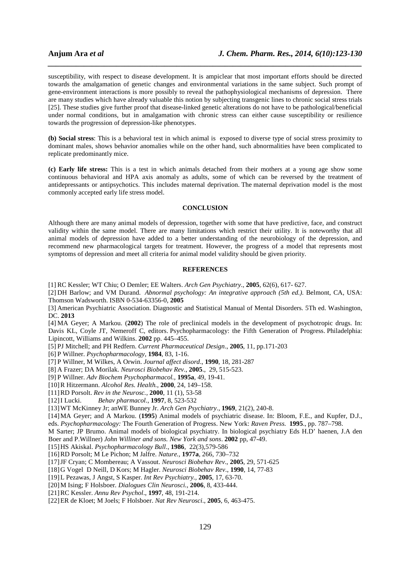susceptibility, with respect to disease development. It is ampiclear that most important efforts should be directed towards the amalgamation of genetic changes and environmental variations in the same subject. Such prompt of gene-environment interactions is more possibly to reveal the pathophysiological mechanisms of depression. There are many studies which have already valuable this notion by subjecting transgenic lines to chronic social stress trials [25]. These studies give further proof that disease-linked genetic alterations do not have to be pathological/beneficial under normal conditions, but in amalgamation with chronic stress can either cause susceptibility or resilience towards the progression of depression-like phenotypes.

*\_\_\_\_\_\_\_\_\_\_\_\_\_\_\_\_\_\_\_\_\_\_\_\_\_\_\_\_\_\_\_\_\_\_\_\_\_\_\_\_\_\_\_\_\_\_\_\_\_\_\_\_\_\_\_\_\_\_\_\_\_\_\_\_\_\_\_\_\_\_\_\_\_\_\_\_\_\_*

**(b) Social stress**: This is a behavioral test in which animal is exposed to diverse type of social stress proximity to dominant males, shows behavior anomalies while on the other hand, such abnormalities have been complicated to replicate predominantly mice.

**(c) Early life stress:** This is a test in which animals detached from their mothers at a young age show some continuous behavioral and HPA axis anomaly as adults, some of which can be reversed by the treatment of antidepressants or antipsychotics. This includes maternal deprivation. The maternal deprivation model is the most commonly accepted early life stress model.

## **CONCLUSION**

Although there are many animal models of depression, together with some that have predictive, face, and construct validity within the same model. There are many limitations which restrict their utility. It is noteworthy that all animal models of depression have added to a better understanding of the neurobiology of the depression, and recommend new pharmacological targets for treatment. However, the progress of a model that represents most symptoms of depression and meet all criteria for animal model validity should be given priority.

### **REFERENCES**

[1] RC Kessler; WT Chiu; O Demler; EE Walters. *Arch Gen Psychiatry*., **2005**, 62(6), 617- 627.

[2] DH Barlow; and VM Durand. *Abnormal psychology: An integrative approach (5th ed.)*. Belmont, CA, USA: Thomson Wadsworth. ISBN 0-534-63356-0, **2005**

[3] American Psychiatric Association. Diagnostic and Statistical Manual of Mental Disorders. 5Th ed. Washington, DC. **2013**

[4] MA Geyer; A Markou. (**2002**) The role of preclinical models in the development of psychotropic drugs. In: Davis KL, Coyle JT, Nemeroff C, editors. Psychopharmacology: the Fifth Generation of Progress. Philadelphia: Lipincott, Williams and Wilkins. **2002** pp. 445–455.

[5] PJ Mitchell; and PH Redfern. *Current Pharmaceutical Design*., **2005**, 11, pp.171-203

[6] P Willner. *Psychopharmacology*, **1984**, 83, 1-16.

[7] P Willner, M Wilkes, A Orwin. *Journal affect disord*., **1990**, 18, 281-287

[8] A Frazer; DA Morilak. *Neurosci Biobehav Rev*., **2005**., 29, 515-523.

[9] P Willner. *Adv Biochem Psychopharmacol.,* **1995a**, 49, 19-41.

[10]R Hitzermann. *Alcohol Res. Health.,* **2000**, 24, 149–158.

[11]RD Porsolt. *Rev in the Neurosc.,* **2000**, 11 (1), 53-58

[12]I Lucki. *Behav pharmacol.*, **1997**, 8, 523-532

[13]WT McKinney Jr; anWE Bunney Jr. *Arch Gen Psychiatry*., **1969**, 21(2), 240-8.

[14]MA Geyer; and A Markou. (**1995**) Animal models of psychiatric disease. In: Bloom, F.E., and Kupfer, D.J.,

eds. *Psychopharmacology:* The Fourth Generation of Progress. New York: *Raven Press.* **1995**., pp. 787–798.

M Sarter; JP Brumo. Animal models of biological psychiatry. In biological psychiatry Eds H.D' haenen, J.A den Boer and P.Willner) *John Williner and sons. New York and sons*. **2002** pp, 47-49.

[15]HS Akiskal. *Psychopharmacology Bull*., **1986**, 22(3),579-586

[16]RD Porsolt; M Le Pichon; M Jalfre. *Nature.,* **1977a**, 266, 730–732

[17]JF Cryan; C Mombereau; A Vassout. *Neurosci Biobehav Rev*., **2005**, 29, 571-625

[18]G Vogel D Neill, D Kors; M Hagler. *Neurosci Biobehav Rev*., **1990**, 14, 77-83

[19]L Pezawas, J Angst, S Kasper. *Int Rev Psychiatry.,* **2005**, 17, 63-70.

[20]M Ising; F Holsboer*. Dialogues Clin Neurosci.*, **2006**, 8, 433-444.

[21]RC Kessler. *Annu Rev Psychol*., **1997**, 48, 191-214.

[22]ER de Kloet; M Joels; F Holsboer. *Nat Rev Neurosci*., **2005**, 6, 463-475.